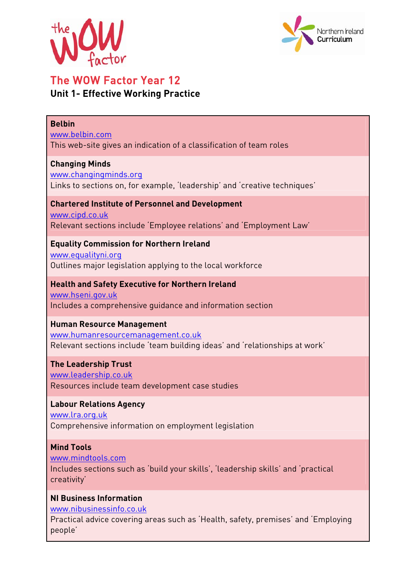



# The WOW Factor Year 12 **Unit 1- Effective Working Practice**

#### **Belbin**

www.belbin.com This web-site gives an indication of a classification of team roles

#### **Changing Minds**

www.changingminds.org

Links to sections on, for example, 'leadership' and 'creative techniques'

#### **Chartered Institute of Personnel and Development**  www.cipd.co.uk Relevant sections include 'Employee relations' and 'Employment Law'

**Equality Commission for Northern Ireland**  www.equalityni.org Outlines major legislation applying to the local workforce

# **Health and Safety Executive for Northern Ireland**

www.hseni.gov.uk Includes a comprehensive guidance and information section

# **Human Resource Management**

www.humanresourcemanagement.co.uk Relevant sections include 'team building ideas' and 'relationships at work'

**The Leadership Trust**  www.leadership.co.uk Resources include team development case studies

# **Labour Relations Agency**

www.lra.org.uk Comprehensive information on employment legislation

# **Mind Tools**

www.mindtools.com

Includes sections such as 'build your skills', 'leadership skills' and 'practical creativity'

# **NI Business Information**

www.nibusinessinfo.co.uk

Practical advice covering areas such as 'Health, safety, premises' and 'Employing people'